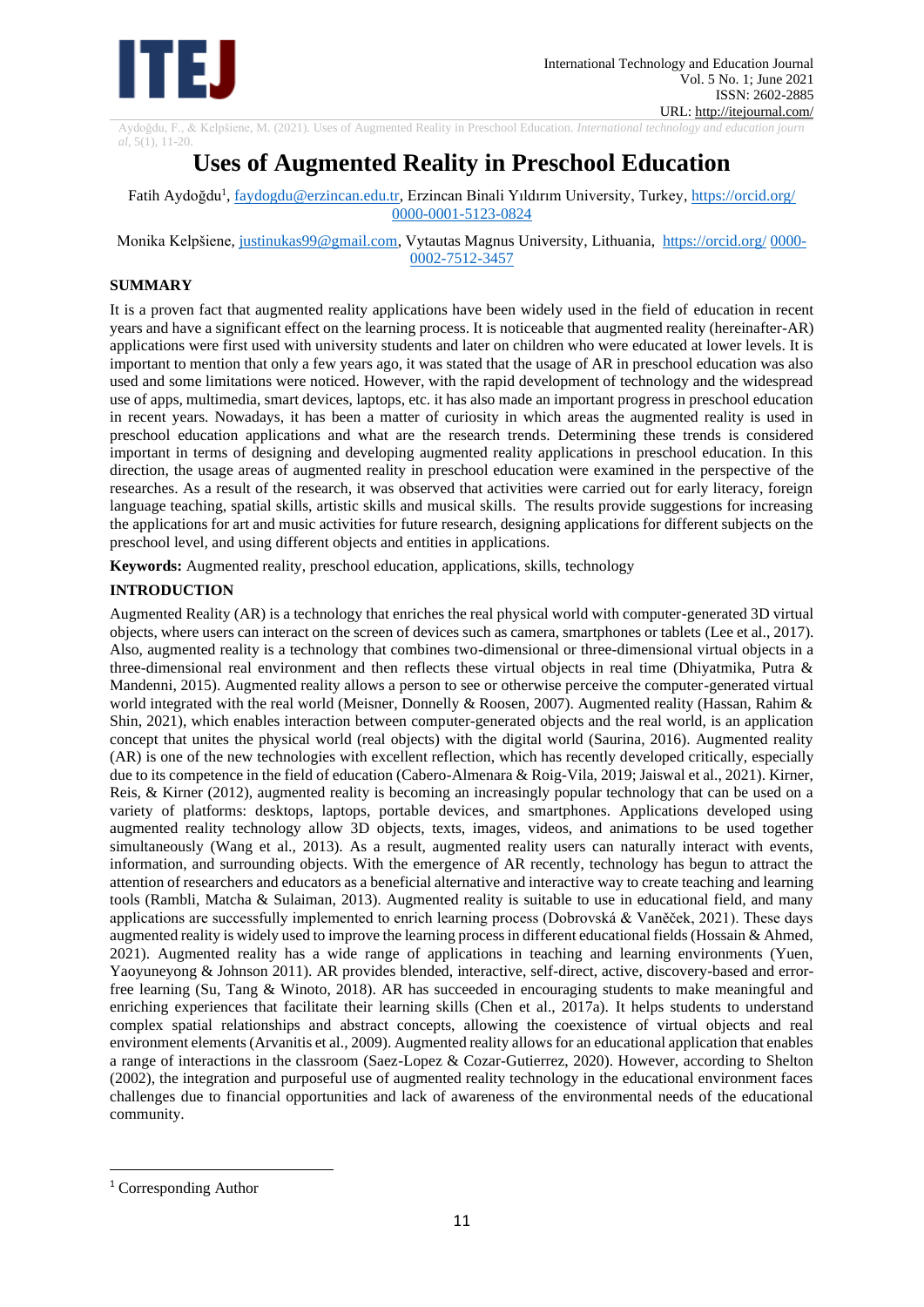

Aydoğdu, F., & Kelpšiene, M. (2021). Uses of Augmented Reality in Preschool Education. *International technology and education journ*

*al,* 5(1), 11-20.

# **Uses of Augmented Reality in Preschool Education**

Fatih Aydoğdu<sup>1</sup>, <u>faydogdu@erzincan.edu.tr</u>, Erzincan Binali Yıldırım University, Turkey[, https://orcid.org/](https://orcid.org/orcid-id) [0000-0001-5123-0824](https://orcid.org/orcid-id)

Monika Kelpšiene, justinukas99@gmail.com, Vytautas Magnus University, Lithuania, [https://orcid.org/](https://orcid.org/orcid-id) 0000- [0002-7512-3457](https://orcid.org/orcid-id) 

### **SUMMARY**

It is a proven fact that augmented reality applications have been widely used in the field of education in recent years and have a significant effect on the learning process. It is noticeable that augmented reality (hereinafter-AR) applications were first used with university students and later on children who were educated at lower levels. It is important to mention that only a few years ago, it was stated that the usage of AR in preschool education was also used and some limitations were noticed. However, with the rapid development of technology and the widespread use of apps, multimedia, smart devices, laptops, etc. it has also made an important progress in preschool education in recent years. Nowadays, it has been a matter of curiosity in which areas the augmented reality is used in preschool education applications and what are the research trends. Determining these trends is considered important in terms of designing and developing augmented reality applications in preschool education. In this direction, the usage areas of augmented reality in preschool education were examined in the perspective of the researches. As a result of the research, it was observed that activities were carried out for early literacy, foreign language teaching, spatial skills, artistic skills and musical skills. The results provide suggestions for increasing the applications for art and music activities for future research, designing applications for different subjects on the preschool level, and using different objects and entities in applications.

**Keywords:** Augmented reality, preschool education, applications, skills, technology

## **INTRODUCTION**

Augmented Reality (AR) is a technology that enriches the real physical world with computer-generated 3D virtual objects, where users can interact on the screen of devices such as camera, smartphones or tablets (Lee et al., 2017). Also, augmented reality is a technology that combines two-dimensional or three-dimensional virtual objects in a three-dimensional real environment and then reflects these virtual objects in real time (Dhiyatmika, Putra & Mandenni, 2015). Augmented reality allows a person to see or otherwise perceive the computer-generated virtual world integrated with the real world (Meisner, Donnelly & Roosen, 2007). Augmented reality (Hassan, Rahim & Shin, 2021), which enables interaction between computer-generated objects and the real world, is an application concept that unites the physical world (real objects) with the digital world (Saurina, 2016). Augmented reality (AR) is one of the new technologies with excellent reflection, which has recently developed critically, especially due to its competence in the field of education (Cabero-Almenara & Roig-Vila, 2019; Jaiswal et al., 2021). Kirner, Reis, & Kirner (2012), augmented reality is becoming an increasingly popular technology that can be used on a variety of platforms: desktops, laptops, portable devices, and smartphones. Applications developed using augmented reality technology allow 3D objects, texts, images, videos, and animations to be used together simultaneously (Wang et al., 2013). As a result, augmented reality users can naturally interact with events, information, and surrounding objects. With the emergence of AR recently, technology has begun to attract the attention of researchers and educators as a beneficial alternative and interactive way to create teaching and learning tools (Rambli, Matcha & Sulaiman, 2013). Augmented reality is suitable to use in educational field, and many applications are successfully implemented to enrich learning process (Dobrovská & Vaněček, 2021). These days augmented reality is widely used to improve the learning process in different educational fields (Hossain & Ahmed, 2021). Augmented reality has a wide range of applications in teaching and learning environments (Yuen, Yaoyuneyong & Johnson 2011). AR provides blended, interactive, self-direct, active, discovery-based and errorfree learning (Su, Tang & Winoto, 2018). AR has succeeded in encouraging students to make meaningful and enriching experiences that facilitate their learning skills (Chen et al., 2017a). It helps students to understand complex spatial relationships and abstract concepts, allowing the coexistence of virtual objects and real environment elements (Arvanitis et al., 2009). Augmented reality allows for an educational application that enables a range of interactions in the classroom (Saez-Lopez & Cozar-Gutierrez, 2020). However, according to Shelton (2002), the integration and purposeful use of augmented reality technology in the educational environment faces challenges due to financial opportunities and lack of awareness of the environmental needs of the educational community.

<sup>&</sup>lt;sup>1</sup> Corresponding Author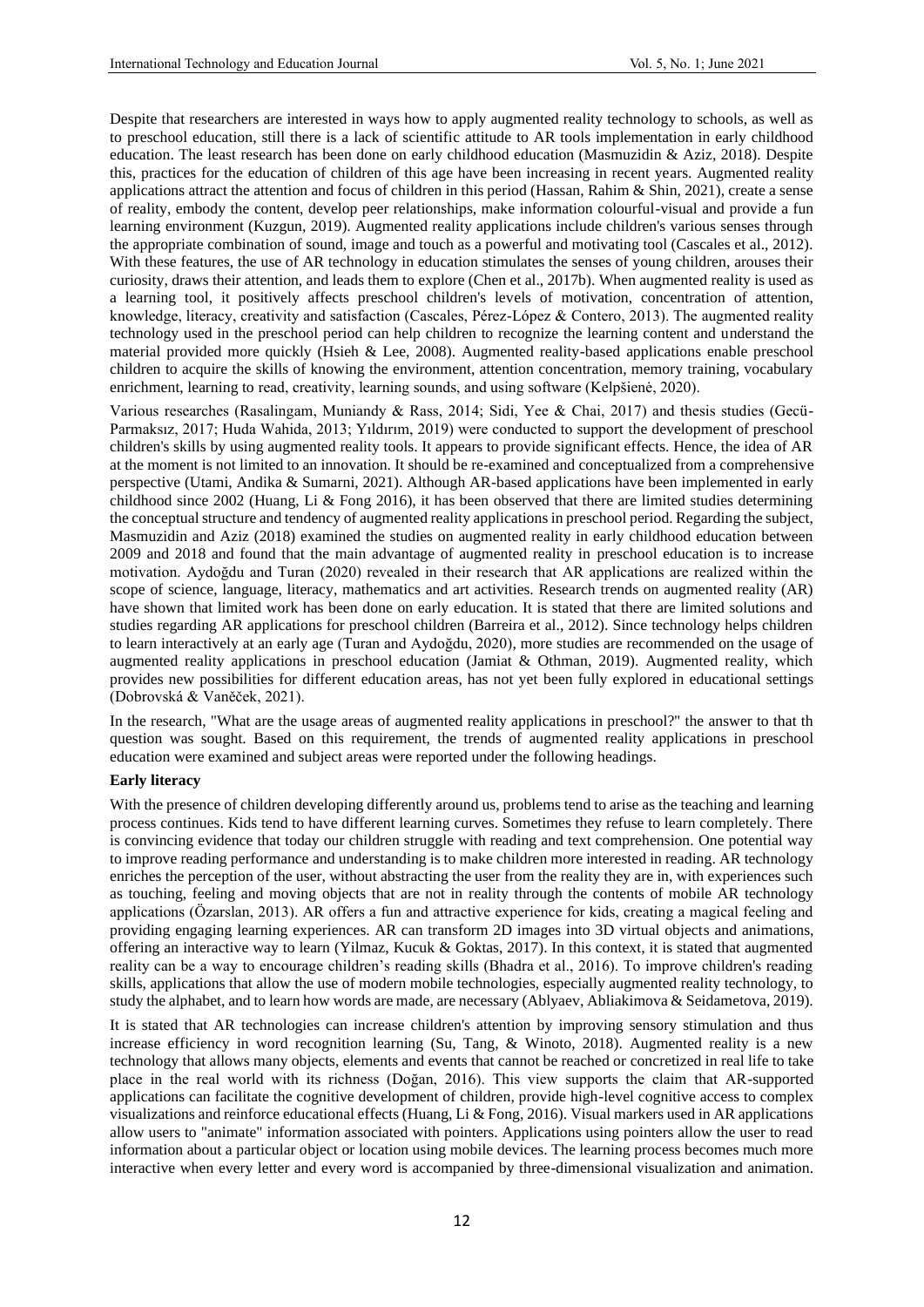Despite that researchers are interested in ways how to apply augmented reality technology to schools, as well as to preschool education, still there is a lack of scientific attitude to AR tools implementation in early childhood education. The least research has been done on early childhood education (Masmuzidin & Aziz, 2018). Despite this, practices for the education of children of this age have been increasing in recent years. Augmented reality applications attract the attention and focus of children in this period (Hassan, Rahim & Shin, 2021), create a sense of reality, embody the content, develop peer relationships, make information colourful-visual and provide a fun learning environment (Kuzgun, 2019). Augmented reality applications include children's various senses through the appropriate combination of sound, image and touch as a powerful and motivating tool (Cascales et al., 2012). With these features, the use of AR technology in education stimulates the senses of young children, arouses their curiosity, draws their attention, and leads them to explore (Chen et al., 2017b). When augmented reality is used as a learning tool, it positively affects preschool children's levels of motivation, concentration of attention, knowledge, literacy, creativity and satisfaction (Cascales, Pérez-López & Contero, 2013). The augmented reality technology used in the preschool period can help children to recognize the learning content and understand the material provided more quickly (Hsieh & Lee, 2008). Augmented reality-based applications enable preschool children to acquire the skills of knowing the environment, attention concentration, memory training, vocabulary enrichment, learning to read, creativity, learning sounds, and using software (Kelpšienė, 2020).

Various researches (Rasalingam, Muniandy & Rass, 2014; Sidi, Yee & Chai, 2017) and thesis studies (Gecü-Parmaksız, 2017; Huda Wahida, 2013; Yıldırım, 2019) were conducted to support the development of preschool children's skills by using augmented reality tools. It appears to provide significant effects. Hence, the idea of AR at the moment is not limited to an innovation. It should be re-examined and conceptualized from a comprehensive perspective (Utami, Andika & Sumarni, 2021). Although AR-based applications have been implemented in early childhood since 2002 (Huang, Li & Fong 2016), it has been observed that there are limited studies determining the conceptual structure and tendency of augmented reality applications in preschool period. Regarding the subject, Masmuzidin and Aziz (2018) examined the studies on augmented reality in early childhood education between 2009 and 2018 and found that the main advantage of augmented reality in preschool education is to increase motivation. Aydoğdu and Turan (2020) revealed in their research that AR applications are realized within the scope of science, language, literacy, mathematics and art activities. Research trends on augmented reality (AR) have shown that limited work has been done on early education. It is stated that there are limited solutions and studies regarding AR applications for preschool children (Barreira et al., 2012). Since technology helps children to learn interactively at an early age (Turan and Aydoğdu, 2020), more studies are recommended on the usage of augmented reality applications in preschool education (Jamiat & Othman, 2019). Augmented reality, which provides new possibilities for different education areas, has not yet been fully explored in educational settings (Dobrovská & Vaněček, 2021).

In the research, "What are the usage areas of augmented reality applications in preschool?" the answer to that th question was sought. Based on this requirement, the trends of augmented reality applications in preschool education were examined and subject areas were reported under the following headings.

### **Early literacy**

With the presence of children developing differently around us, problems tend to arise as the teaching and learning process continues. Kids tend to have different learning curves. Sometimes they refuse to learn completely. There is convincing evidence that today our children struggle with reading and text comprehension. One potential way to improve reading performance and understanding is to make children more interested in reading. AR technology enriches the perception of the user, without abstracting the user from the reality they are in, with experiences such as touching, feeling and moving objects that are not in reality through the contents of mobile AR technology applications (Özarslan, 2013). AR offers a fun and attractive experience for kids, creating a magical feeling and providing engaging learning experiences. AR can transform 2D images into 3D virtual objects and animations, offering an interactive way to learn (Yilmaz, Kucuk & Goktas, 2017). In this context, it is stated that augmented reality can be a way to encourage children's reading skills (Bhadra et al., 2016). To improve children's reading skills, applications that allow the use of modern mobile technologies, especially augmented reality technology, to study the alphabet, and to learn how words are made, are necessary (Ablyaev, Abliakimova & Seidametova, 2019).

It is stated that AR technologies can increase children's attention by improving sensory stimulation and thus increase efficiency in word recognition learning (Su, Tang, & Winoto, 2018). Augmented reality is a new technology that allows many objects, elements and events that cannot be reached or concretized in real life to take place in the real world with its richness (Doğan, 2016). This view supports the claim that AR-supported applications can facilitate the cognitive development of children, provide high-level cognitive access to complex visualizations and reinforce educational effects (Huang, Li & Fong, 2016). Visual markers used in AR applications allow users to "animate" information associated with pointers. Applications using pointers allow the user to read information about a particular object or location using mobile devices. The learning process becomes much more interactive when every letter and every word is accompanied by three-dimensional visualization and animation.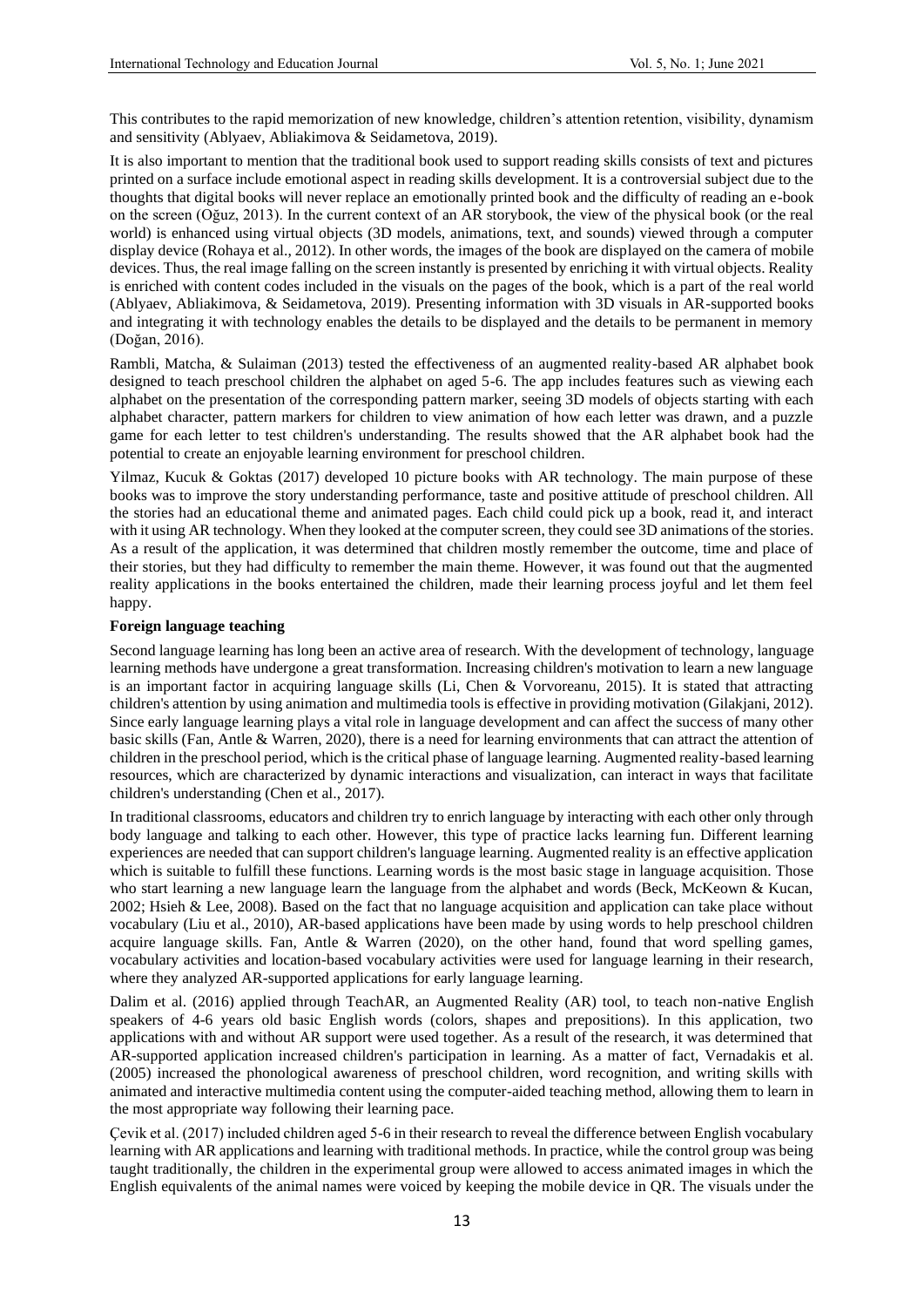This contributes to the rapid memorization of new knowledge, children's attention retention, visibility, dynamism and sensitivity (Ablyaev, Abliakimova & Seidametova, 2019).

It is also important to mention that the traditional book used to support reading skills consists of text and pictures printed on a surface include emotional aspect in reading skills development. It is a controversial subject due to the thoughts that digital books will never replace an emotionally printed book and the difficulty of reading an e-book on the screen (Oğuz, 2013). In the current context of an AR storybook, the view of the physical book (or the real world) is enhanced using virtual objects (3D models, animations, text, and sounds) viewed through a computer display device (Rohaya et al., 2012). In other words, the images of the book are displayed on the camera of mobile devices. Thus, the real image falling on the screen instantly is presented by enriching it with virtual objects. Reality is enriched with content codes included in the visuals on the pages of the book, which is a part of the real world (Ablyaev, Abliakimova, & Seidametova, 2019). Presenting information with 3D visuals in AR-supported books and integrating it with technology enables the details to be displayed and the details to be permanent in memory (Doğan, 2016).

Rambli, Matcha, & Sulaiman (2013) tested the effectiveness of an augmented reality-based AR alphabet book designed to teach preschool children the alphabet on aged 5-6. The app includes features such as viewing each alphabet on the presentation of the corresponding pattern marker, seeing 3D models of objects starting with each alphabet character, pattern markers for children to view animation of how each letter was drawn, and a puzzle game for each letter to test children's understanding. The results showed that the AR alphabet book had the potential to create an enjoyable learning environment for preschool children.

Yilmaz, Kucuk & Goktas (2017) developed 10 picture books with AR technology. The main purpose of these books was to improve the story understanding performance, taste and positive attitude of preschool children. All the stories had an educational theme and animated pages. Each child could pick up a book, read it, and interact with it using AR technology. When they looked at the computer screen, they could see 3D animations of the stories. As a result of the application, it was determined that children mostly remember the outcome, time and place of their stories, but they had difficulty to remember the main theme. However, it was found out that the augmented reality applications in the books entertained the children, made their learning process joyful and let them feel happy.

#### **Foreign language teaching**

Second language learning has long been an active area of research. With the development of technology, language learning methods have undergone a great transformation. Increasing children's motivation to learn a new language is an important factor in acquiring language skills (Li, Chen & Vorvoreanu, 2015). It is stated that attracting children's attention by using animation and multimedia tools is effective in providing motivation (Gilakjani, 2012). Since early language learning plays a vital role in language development and can affect the success of many other basic skills (Fan, Antle & Warren, 2020), there is a need for learning environments that can attract the attention of children in the preschool period, which is the critical phase of language learning. Augmented reality-based learning resources, which are characterized by dynamic interactions and visualization, can interact in ways that facilitate children's understanding (Chen et al., 2017).

In traditional classrooms, educators and children try to enrich language by interacting with each other only through body language and talking to each other. However, this type of practice lacks learning fun. Different learning experiences are needed that can support children's language learning. Augmented reality is an effective application which is suitable to fulfill these functions. Learning words is the most basic stage in language acquisition. Those who start learning a new language learn the language from the alphabet and words (Beck, McKeown & Kucan, 2002; Hsieh & Lee, 2008). Based on the fact that no language acquisition and application can take place without vocabulary (Liu et al., 2010), AR-based applications have been made by using words to help preschool children acquire language skills. Fan, Antle & Warren (2020), on the other hand, found that word spelling games, vocabulary activities and location-based vocabulary activities were used for language learning in their research, where they analyzed AR-supported applications for early language learning.

Dalim et al. (2016) applied through TeachAR, an Augmented Reality (AR) tool, to teach non-native English speakers of 4-6 years old basic English words (colors, shapes and prepositions). In this application, two applications with and without AR support were used together. As a result of the research, it was determined that AR-supported application increased children's participation in learning. As a matter of fact, Vernadakis et al. (2005) increased the phonological awareness of preschool children, word recognition, and writing skills with animated and interactive multimedia content using the computer-aided teaching method, allowing them to learn in the most appropriate way following their learning pace.

Çevik et al. (2017) included children aged 5-6 in their research to reveal the difference between English vocabulary learning with AR applications and learning with traditional methods. In practice, while the control group was being taught traditionally, the children in the experimental group were allowed to access animated images in which the English equivalents of the animal names were voiced by keeping the mobile device in QR. The visuals under the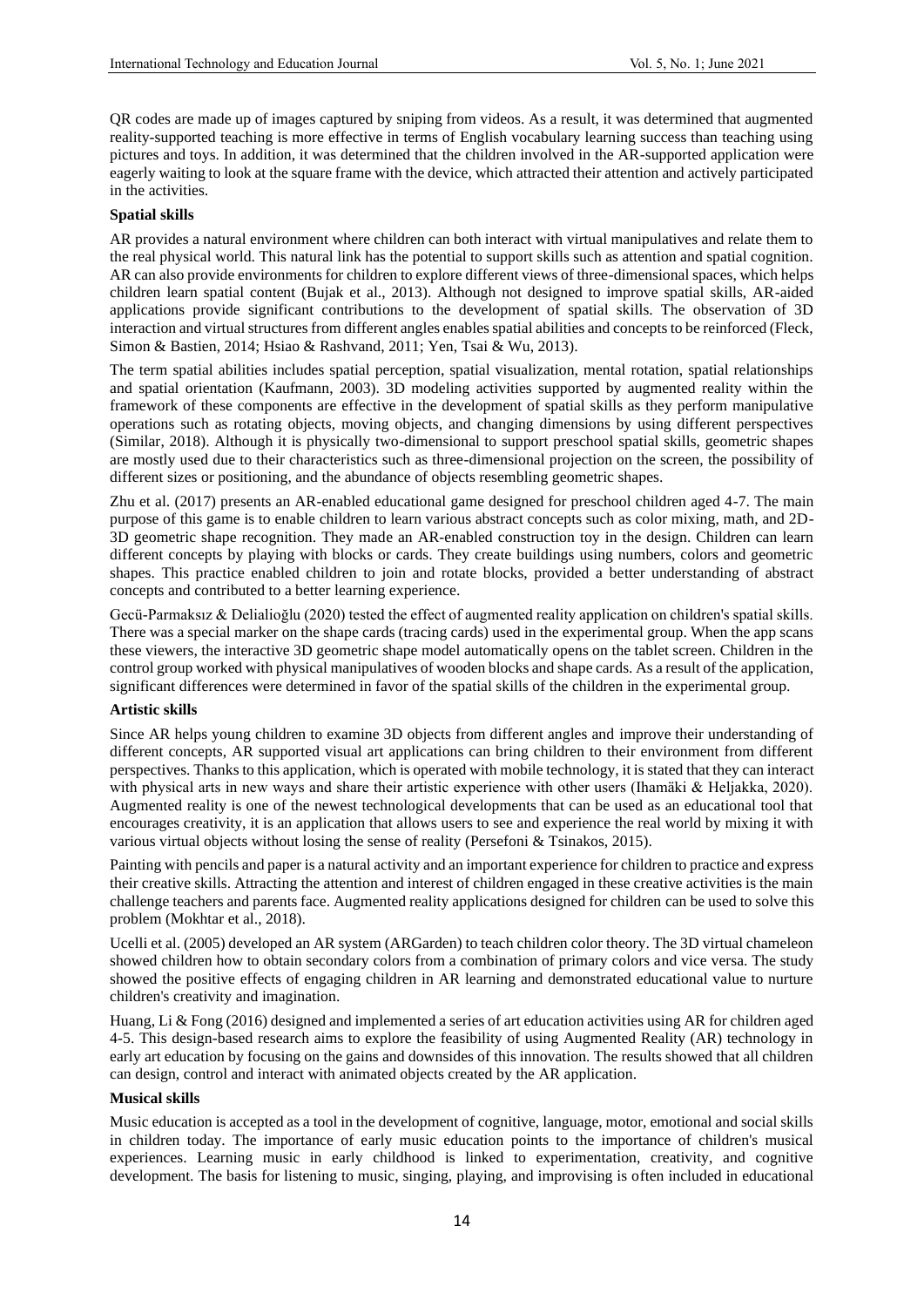QR codes are made up of images captured by sniping from videos. As a result, it was determined that augmented reality-supported teaching is more effective in terms of English vocabulary learning success than teaching using pictures and toys. In addition, it was determined that the children involved in the AR-supported application were eagerly waiting to look at the square frame with the device, which attracted their attention and actively participated in the activities.

### **Spatial skills**

AR provides a natural environment where children can both interact with virtual manipulatives and relate them to the real physical world. This natural link has the potential to support skills such as attention and spatial cognition. AR can also provide environments for children to explore different views of three-dimensional spaces, which helps children learn spatial content (Bujak et al., 2013). Although not designed to improve spatial skills, AR-aided applications provide significant contributions to the development of spatial skills. The observation of 3D interaction and virtual structures from different angles enables spatial abilities and concepts to be reinforced (Fleck, Simon & Bastien, 2014; Hsiao & Rashvand, 2011; Yen, Tsai & Wu, 2013).

The term spatial abilities includes spatial perception, spatial visualization, mental rotation, spatial relationships and spatial orientation (Kaufmann, 2003). 3D modeling activities supported by augmented reality within the framework of these components are effective in the development of spatial skills as they perform manipulative operations such as rotating objects, moving objects, and changing dimensions by using different perspectives (Similar, 2018). Although it is physically two-dimensional to support preschool spatial skills, geometric shapes are mostly used due to their characteristics such as three-dimensional projection on the screen, the possibility of different sizes or positioning, and the abundance of objects resembling geometric shapes.

Zhu et al. (2017) presents an AR-enabled educational game designed for preschool children aged 4-7. The main purpose of this game is to enable children to learn various abstract concepts such as color mixing, math, and 2D-3D geometric shape recognition. They made an AR-enabled construction toy in the design. Children can learn different concepts by playing with blocks or cards. They create buildings using numbers, colors and geometric shapes. This practice enabled children to join and rotate blocks, provided a better understanding of abstract concepts and contributed to a better learning experience.

Gecü-Parmaksız & Delialioğlu (2020) tested the effect of augmented reality application on children's spatial skills. There was a special marker on the shape cards (tracing cards) used in the experimental group. When the app scans these viewers, the interactive 3D geometric shape model automatically opens on the tablet screen. Children in the control group worked with physical manipulatives of wooden blocks and shape cards. As a result of the application, significant differences were determined in favor of the spatial skills of the children in the experimental group.

### **Artistic skills**

Since AR helps young children to examine 3D objects from different angles and improve their understanding of different concepts, AR supported visual art applications can bring children to their environment from different perspectives. Thanks to this application, which is operated with mobile technology, it is stated that they can interact with physical arts in new ways and share their artistic experience with other users (Ihamäki & Heljakka, 2020). Augmented reality is one of the newest technological developments that can be used as an educational tool that encourages creativity, it is an application that allows users to see and experience the real world by mixing it with various virtual objects without losing the sense of reality (Persefoni & Tsinakos, 2015).

Painting with pencils and paper is a natural activity and an important experience for children to practice and express their creative skills. Attracting the attention and interest of children engaged in these creative activities is the main challenge teachers and parents face. Augmented reality applications designed for children can be used to solve this problem (Mokhtar et al., 2018).

Ucelli et al. (2005) developed an AR system (ARGarden) to teach children color theory. The 3D virtual chameleon showed children how to obtain secondary colors from a combination of primary colors and vice versa. The study showed the positive effects of engaging children in AR learning and demonstrated educational value to nurture children's creativity and imagination.

Huang, Li & Fong (2016) designed and implemented a series of art education activities using AR for children aged 4-5. This design-based research aims to explore the feasibility of using Augmented Reality (AR) technology in early art education by focusing on the gains and downsides of this innovation. The results showed that all children can design, control and interact with animated objects created by the AR application.

### **Musical skills**

Music education is accepted as a tool in the development of cognitive, language, motor, emotional and social skills in children today. The importance of early music education points to the importance of children's musical experiences. Learning music in early childhood is linked to experimentation, creativity, and cognitive development. The basis for listening to music, singing, playing, and improvising is often included in educational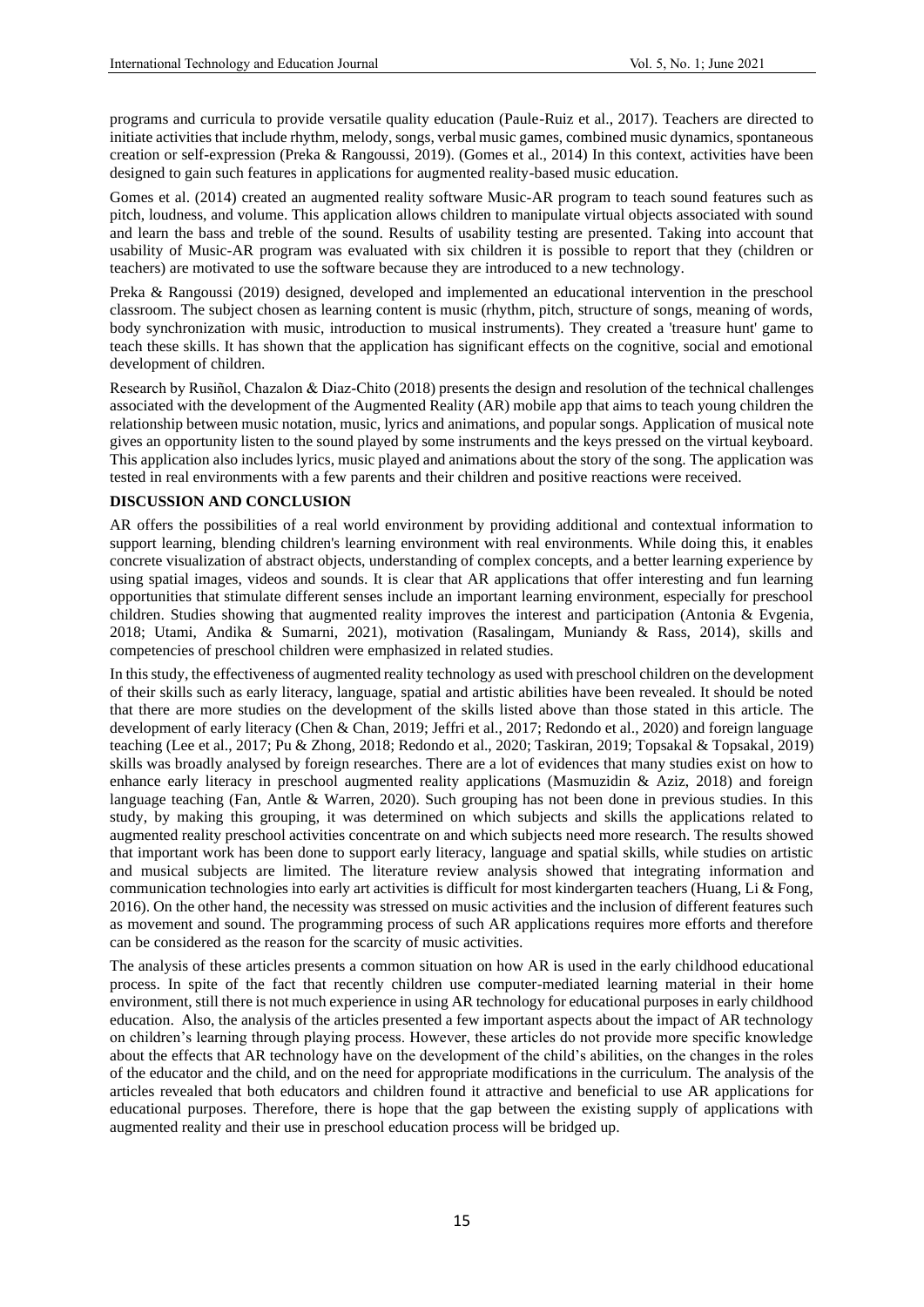programs and curricula to provide versatile quality education (Paule-Ruiz et al., 2017). Teachers are directed to initiate activities that include rhythm, melody, songs, verbal music games, combined music dynamics, spontaneous creation or self-expression (Preka & Rangoussi, 2019). (Gomes et al., 2014) In this context, activities have been designed to gain such features in applications for augmented reality-based music education.

Gomes et al. (2014) created an augmented reality software Music-AR program to teach sound features such as pitch, loudness, and volume. This application allows children to manipulate virtual objects associated with sound and learn the bass and treble of the sound. Results of usability testing are presented. Taking into account that usability of Music-AR program was evaluated with six children it is possible to report that they (children or teachers) are motivated to use the software because they are introduced to a new technology.

Preka & Rangoussi (2019) designed, developed and implemented an educational intervention in the preschool classroom. The subject chosen as learning content is music (rhythm, pitch, structure of songs, meaning of words, body synchronization with music, introduction to musical instruments). They created a 'treasure hunt' game to teach these skills. It has shown that the application has significant effects on the cognitive, social and emotional development of children.

Research by Rusiñol, Chazalon & Diaz-Chito (2018) presents the design and resolution of the technical challenges associated with the development of the Augmented Reality (AR) mobile app that aims to teach young children the relationship between music notation, music, lyrics and animations, and popular songs. Application of musical note gives an opportunity listen to the sound played by some instruments and the keys pressed on the virtual keyboard. This application also includes lyrics, music played and animations about the story of the song. The application was tested in real environments with a few parents and their children and positive reactions were received.

### **DISCUSSION AND CONCLUSION**

AR offers the possibilities of a real world environment by providing additional and contextual information to support learning, blending children's learning environment with real environments. While doing this, it enables concrete visualization of abstract objects, understanding of complex concepts, and a better learning experience by using spatial images, videos and sounds. It is clear that AR applications that offer interesting and fun learning opportunities that stimulate different senses include an important learning environment, especially for preschool children. Studies showing that augmented reality improves the interest and participation (Antonia & Evgenia, 2018; Utami, Andika & Sumarni, 2021), motivation (Rasalingam, Muniandy & Rass, 2014), skills and competencies of preschool children were emphasized in related studies.

In this study, the effectiveness of augmented reality technology as used with preschool children on the development of their skills such as early literacy, language, spatial and artistic abilities have been revealed. It should be noted that there are more studies on the development of the skills listed above than those stated in this article. The development of early literacy (Chen & Chan, 2019; Jeffri et al., 2017; Redondo et al., 2020) and foreign language teaching (Lee et al., 2017; Pu & Zhong, 2018; Redondo et al., 2020; Taskiran, 2019; Topsakal & Topsakal, 2019) skills was broadly analysed by foreign researches. There are a lot of evidences that many studies exist on how to enhance early literacy in preschool augmented reality applications (Masmuzidin & Aziz, 2018) and foreign language teaching (Fan, Antle & Warren, 2020). Such grouping has not been done in previous studies. In this study, by making this grouping, it was determined on which subjects and skills the applications related to augmented reality preschool activities concentrate on and which subjects need more research. The results showed that important work has been done to support early literacy, language and spatial skills, while studies on artistic and musical subjects are limited. The literature review analysis showed that integrating information and communication technologies into early art activities is difficult for most kindergarten teachers (Huang, Li & Fong, 2016). On the other hand, the necessity was stressed on music activities and the inclusion of different features such as movement and sound. The programming process of such AR applications requires more efforts and therefore can be considered as the reason for the scarcity of music activities.

The analysis of these articles presents a common situation on how AR is used in the early childhood educational process. In spite of the fact that recently children use computer-mediated learning material in their home environment, still there is not much experience in using AR technology for educational purposes in early childhood education. Also, the analysis of the articles presented a few important aspects about the impact of AR technology on children's learning through playing process. However, these articles do not provide more specific knowledge about the effects that AR technology have on the development of the child's abilities, on the changes in the roles of the educator and the child, and on the need for appropriate modifications in the curriculum. The analysis of the articles revealed that both educators and children found it attractive and beneficial to use AR applications for educational purposes. Therefore, there is hope that the gap between the existing supply of applications with augmented reality and their use in preschool education process will be bridged up.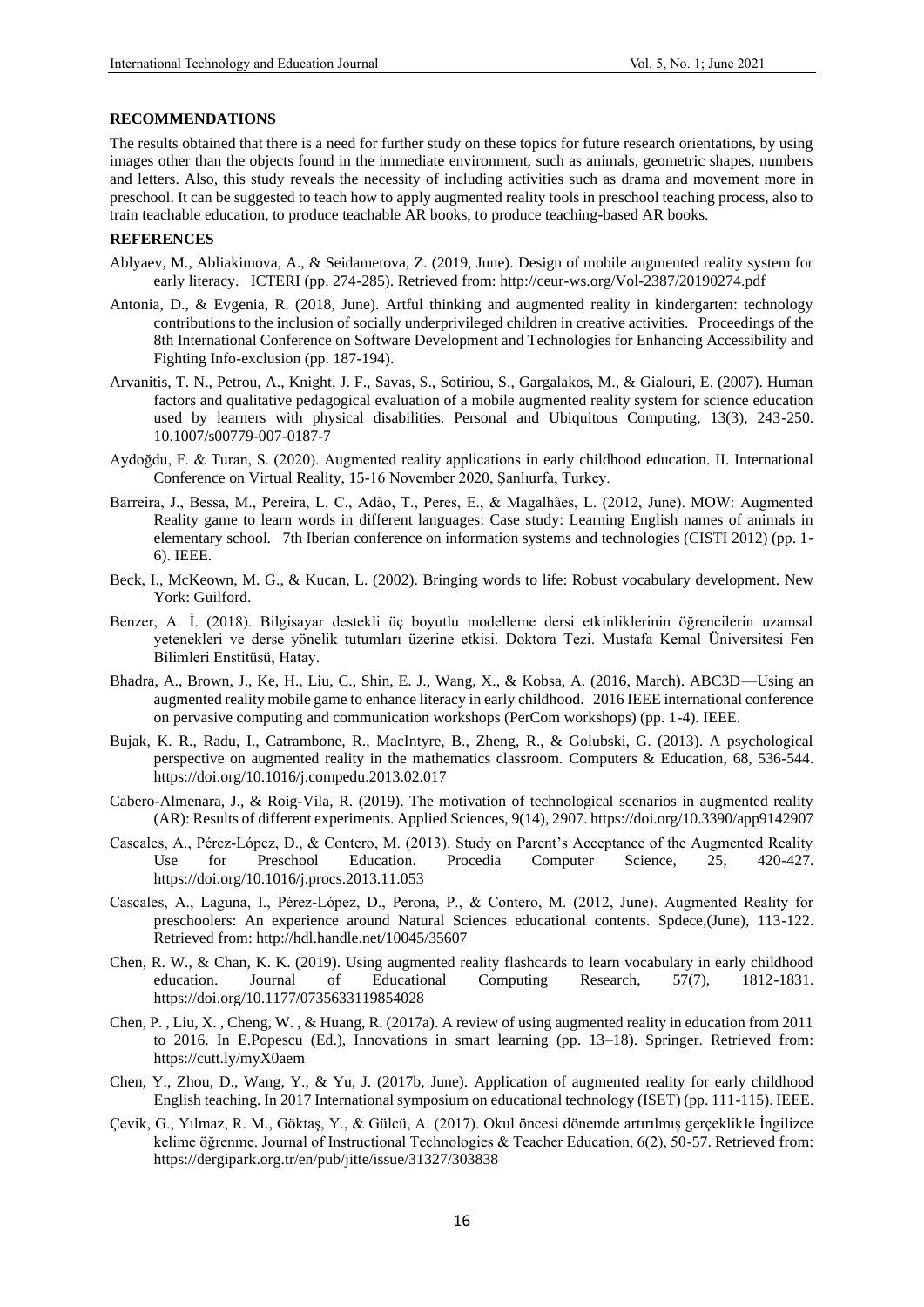#### **RECOMMENDATIONS**

The results obtained that there is a need for further study on these topics for future research orientations, by using images other than the objects found in the immediate environment, such as animals, geometric shapes, numbers and letters. Also, this study reveals the necessity of including activities such as drama and movement more in preschool. It can be suggested to teach how to apply augmented reality tools in preschool teaching process, also to train teachable education, to produce teachable AR books, to produce teaching-based AR books.

#### **REFERENCES**

- Ablyaev, M., Abliakimova, A., & Seidametova, Z. (2019, June). Design of mobile augmented reality system for early literacy. ICTERI (pp. 274-285). Retrieved from: http://ceur-ws.org/Vol-2387/20190274.pdf
- Antonia, D., & Evgenia, R. (2018, June). Artful thinking and augmented reality in kindergarten: technology contributions to the inclusion of socially underprivileged children in creative activities. Proceedings of the 8th International Conference on Software Development and Technologies for Enhancing Accessibility and Fighting Info-exclusion (pp. 187-194).
- Arvanitis, T. N., Petrou, A., Knight, J. F., Savas, S., Sotiriou, S., Gargalakos, M., & Gialouri, E. (2007). Human factors and qualitative pedagogical evaluation of a mobile augmented reality system for science education used by learners with physical disabilities. Personal and Ubiquitous Computing, 13(3), 243-250. 10.1007/s00779-007-0187-7
- Aydoğdu, F. & Turan, S. (2020). Augmented reality applications in early childhood education. II. International Conference on Virtual Reality, 15-16 November 2020, Şanlıurfa, Turkey.
- Barreira, J., Bessa, M., Pereira, L. C., Adão, T., Peres, E., & Magalhães, L. (2012, June). MOW: Augmented Reality game to learn words in different languages: Case study: Learning English names of animals in elementary school. 7th Iberian conference on information systems and technologies (CISTI 2012) (pp. 1- 6). IEEE.
- Beck, I., McKeown, M. G., & Kucan, L. (2002). Bringing words to life: Robust vocabulary development. New York: Guilford.
- Benzer, A. İ. (2018). Bilgisayar destekli üç boyutlu modelleme dersi etkinliklerinin öğrencilerin uzamsal yetenekleri ve derse yönelik tutumları üzerine etkisi. Doktora Tezi. Mustafa Kemal Üniversitesi Fen Bilimleri Enstitüsü, Hatay.
- Bhadra, A., Brown, J., Ke, H., Liu, C., Shin, E. J., Wang, X., & Kobsa, A. (2016, March). ABC3D—Using an augmented reality mobile game to enhance literacy in early childhood. 2016 IEEE international conference on pervasive computing and communication workshops (PerCom workshops) (pp. 1-4). IEEE.
- Bujak, K. R., Radu, I., Catrambone, R., MacIntyre, B., Zheng, R., & Golubski, G. (2013). A psychological perspective on augmented reality in the mathematics classroom. Computers & Education, 68, 536-544. https://doi.org/10.1016/j.compedu.2013.02.017
- Cabero-Almenara, J., & Roig-Vila, R. (2019). The motivation of technological scenarios in augmented reality (AR): Results of different experiments. Applied Sciences, 9(14), 2907. https://doi.org/10.3390/app9142907
- Cascales, A., Pérez-López, D., & Contero, M. (2013). Study on Parent's Acceptance of the Augmented Reality Use for Preschool Education. Procedia Computer Science, 25, 420-427. https://doi.org/10.1016/j.procs.2013.11.053
- Cascales, A., Laguna, I., Pérez-López, D., Perona, P., & Contero, M. (2012, June). Augmented Reality for preschoolers: An experience around Natural Sciences educational contents. Spdece,(June), 113-122. Retrieved from: http://hdl.handle.net/10045/35607
- Chen, R. W., & Chan, K. K. (2019). Using augmented reality flashcards to learn vocabulary in early childhood education. Journal of Educational Computing Research, 57(7), 1812-1831. https://doi.org/10.1177/0735633119854028
- Chen, P. , Liu, X. , Cheng, W. , & Huang, R. (2017a). A review of using augmented reality in education from 2011 to 2016. In E.Popescu (Ed.), Innovations in smart learning (pp. 13–18). Springer. Retrieved from: https://cutt.ly/myX0aem
- Chen, Y., Zhou, D., Wang, Y., & Yu, J. (2017b, June). Application of augmented reality for early childhood English teaching. In 2017 International symposium on educational technology (ISET) (pp. 111-115). IEEE.
- Çevik, G., Yılmaz, R. M., Göktaş, Y., & Gülcü, A. (2017). Okul öncesi dönemde artırılmış gerçeklikle İngilizce kelime öğrenme. Journal of Instructional Technologies & Teacher Education, 6(2), 50-57. Retrieved from: https://dergipark.org.tr/en/pub/jitte/issue/31327/303838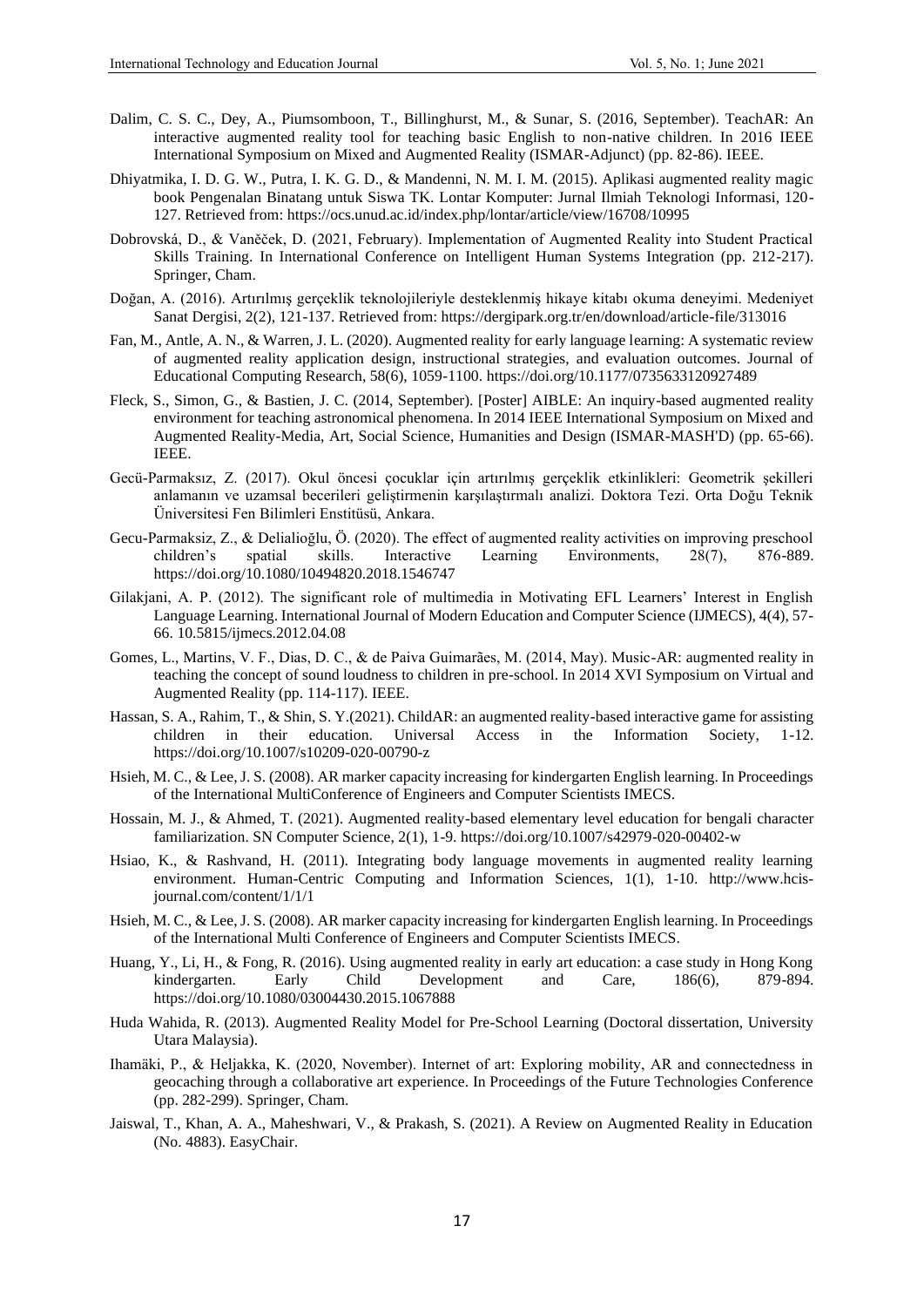- Dalim, C. S. C., Dey, A., Piumsomboon, T., Billinghurst, M., & Sunar, S. (2016, September). TeachAR: An interactive augmented reality tool for teaching basic English to non-native children. In 2016 IEEE International Symposium on Mixed and Augmented Reality (ISMAR-Adjunct) (pp. 82-86). IEEE.
- Dhiyatmika, I. D. G. W., Putra, I. K. G. D., & Mandenni, N. M. I. M. (2015). Aplikasi augmented reality magic book Pengenalan Binatang untuk Siswa TK. Lontar Komputer: Jurnal Ilmiah Teknologi Informasi, 120- 127. Retrieved from: https://ocs.unud.ac.id/index.php/lontar/article/view/16708/10995
- Dobrovská, D., & Vaněček, D. (2021, February). Implementation of Augmented Reality into Student Practical Skills Training. In International Conference on Intelligent Human Systems Integration (pp. 212-217). Springer, Cham.
- Doğan, A. (2016). Artırılmış gerçeklik teknolojileriyle desteklenmiş hikaye kitabı okuma deneyimi. Medeniyet Sanat Dergisi, 2(2), 121-137. Retrieved from: https://dergipark.org.tr/en/download/article-file/313016
- Fan, M., Antle, A. N., & Warren, J. L. (2020). Augmented reality for early language learning: A systematic review of augmented reality application design, instructional strategies, and evaluation outcomes. Journal of Educational Computing Research, 58(6), 1059-1100. https://doi.org/10.1177/0735633120927489
- Fleck, S., Simon, G., & Bastien, J. C. (2014, September). [Poster] AIBLE: An inquiry-based augmented reality environment for teaching astronomical phenomena. In 2014 IEEE International Symposium on Mixed and Augmented Reality-Media, Art, Social Science, Humanities and Design (ISMAR-MASH'D) (pp. 65-66). IEEE.
- Gecü-Parmaksız, Z. (2017). Okul öncesi çocuklar için artırılmış gerçeklik etkinlikleri: Geometrik şekilleri anlamanın ve uzamsal becerileri geliştirmenin karşılaştırmalı analizi. Doktora Tezi. Orta Doğu Teknik Üniversitesi Fen Bilimleri Enstitüsü, Ankara.
- Gecu-Parmaksiz, Z., & Delialioğlu, Ö. (2020). The effect of augmented reality activities on improving preschool children's spatial skills. Interactive Learning Environments, 28(7), 876-889. https://doi.org/10.1080/10494820.2018.1546747
- Gilakjani, A. P. (2012). The significant role of multimedia in Motivating EFL Learners' Interest in English Language Learning. International Journal of Modern Education and Computer Science (IJMECS), 4(4), 57- 66. 10.5815/ijmecs.2012.04.08
- Gomes, L., Martins, V. F., Dias, D. C., & de Paiva Guimarães, M. (2014, May). Music-AR: augmented reality in teaching the concept of sound loudness to children in pre-school. In 2014 XVI Symposium on Virtual and Augmented Reality (pp. 114-117). IEEE.
- Hassan, S. A., Rahim, T., & Shin, S. Y.(2021). ChildAR: an augmented reality-based interactive game for assisting children in their education. Universal Access in the Information Society, 1-12. https://doi.org/10.1007/s10209-020-00790-z
- Hsieh, M. C., & Lee, J. S. (2008). AR marker capacity increasing for kindergarten English learning. In Proceedings of the International MultiConference of Engineers and Computer Scientists IMECS.
- Hossain, M. J., & Ahmed, T. (2021). Augmented reality-based elementary level education for bengali character familiarization. SN Computer Science, 2(1), 1-9. https://doi.org/10.1007/s42979-020-00402-w
- Hsiao, K., & Rashvand, H. (2011). Integrating body language movements in augmented reality learning environment. Human-Centric Computing and Information Sciences, 1(1), 1-10. http://www.hcisjournal.com/content/1/1/1
- Hsieh, M. C., & Lee, J. S. (2008). AR marker capacity increasing for kindergarten English learning. In Proceedings of the International Multi Conference of Engineers and Computer Scientists IMECS.
- Huang, Y., Li, H., & Fong, R. (2016). Using augmented reality in early art education: a case study in Hong Kong kindergarten. Early Child Development and Care, 186(6), 879-894. https://doi.org/10.1080/03004430.2015.1067888
- Huda Wahida, R. (2013). Augmented Reality Model for Pre-School Learning (Doctoral dissertation, University Utara Malaysia).
- Ihamäki, P., & Heljakka, K. (2020, November). Internet of art: Exploring mobility, AR and connectedness in geocaching through a collaborative art experience. In Proceedings of the Future Technologies Conference (pp. 282-299). Springer, Cham.
- Jaiswal, T., Khan, A. A., Maheshwari, V., & Prakash, S. (2021). A Review on Augmented Reality in Education (No. 4883). EasyChair.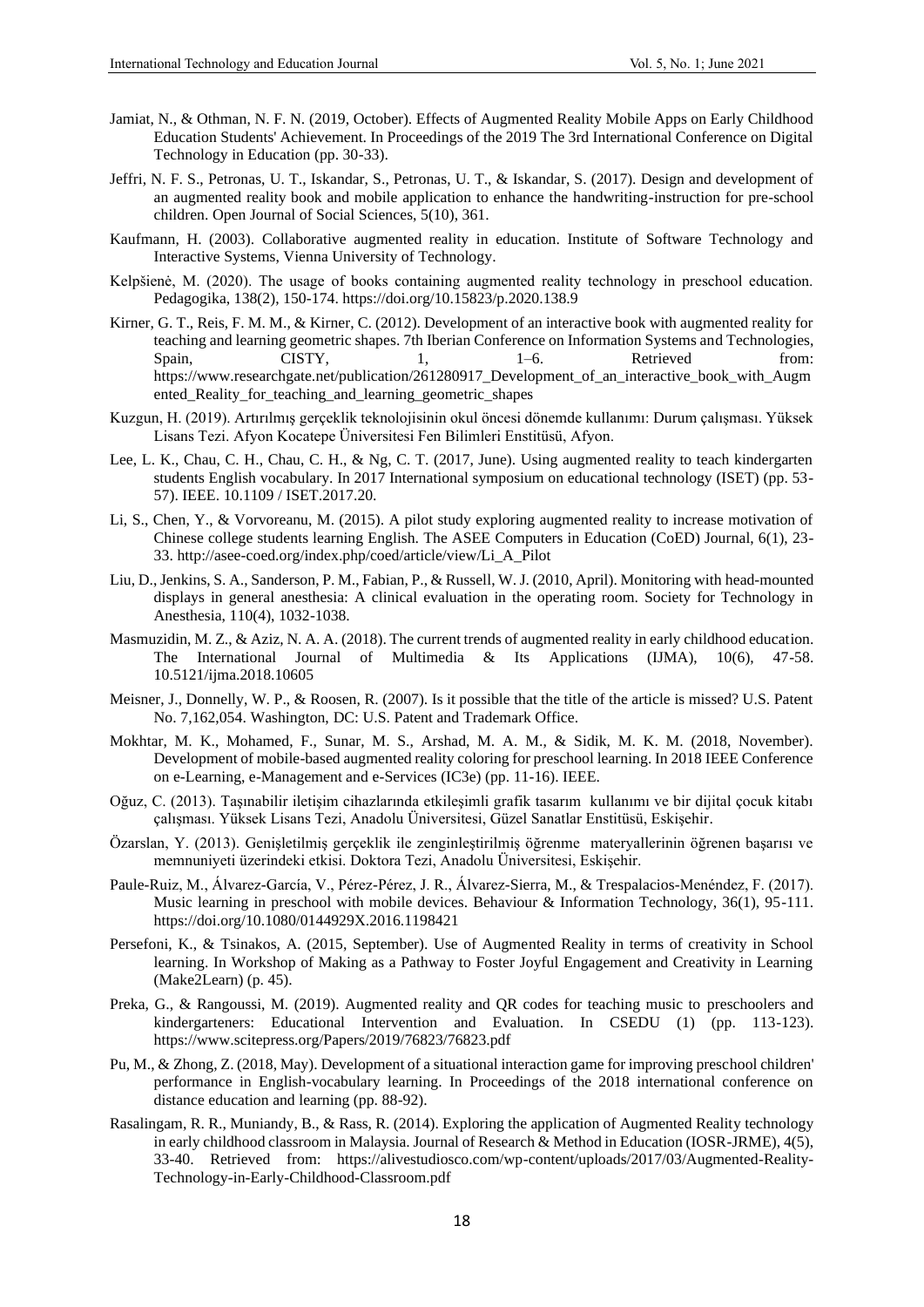- Jamiat, N., & Othman, N. F. N. (2019, October). Effects of Augmented Reality Mobile Apps on Early Childhood Education Students' Achievement. In Proceedings of the 2019 The 3rd International Conference on Digital Technology in Education (pp. 30-33).
- Jeffri, N. F. S., Petronas, U. T., Iskandar, S., Petronas, U. T., & Iskandar, S. (2017). Design and development of an augmented reality book and mobile application to enhance the handwriting-instruction for pre-school children. Open Journal of Social Sciences, 5(10), 361.
- Kaufmann, H. (2003). Collaborative augmented reality in education. Institute of Software Technology and Interactive Systems, Vienna University of Technology.
- Kelpšienė, M. (2020). The usage of books containing augmented reality technology in preschool education. Pedagogika, 138(2), 150-174. https://doi.org/10.15823/p.2020.138.9
- Kirner, G. T., Reis, F. M. M., & Kirner, C. (2012). Development of an interactive book with augmented reality for teaching and learning geometric shapes. 7th Iberian Conference on Information Systems and Technologies, Spain, CISTY, 1, 1–6. Retrieved from: https://www.researchgate.net/publication/261280917\_Development\_of\_an\_interactive\_book\_with\_Augm ented\_Reality\_for\_teaching\_and\_learning\_geometric\_shapes
- Kuzgun, H. (2019). Artırılmış gerçeklik teknolojisinin okul öncesi dönemde kullanımı: Durum çalışması. Yüksek Lisans Tezi. Afyon Kocatepe Üniversitesi Fen Bilimleri Enstitüsü, Afyon.
- Lee, L. K., Chau, C. H., Chau, C. H., & Ng, C. T. (2017, June). Using augmented reality to teach kindergarten students English vocabulary. In 2017 International symposium on educational technology (ISET) (pp. 53- 57). IEEE. 10.1109 / ISET.2017.20.
- Li, S., Chen, Y., & Vorvoreanu, M. (2015). A pilot study exploring augmented reality to increase motivation of Chinese college students learning English. The ASEE Computers in Education (CoED) Journal, 6(1), 23- 33. http://asee-coed.org/index.php/coed/article/view/Li\_A\_Pilot
- Liu, D., Jenkins, S. A., Sanderson, P. M., Fabian, P., & Russell, W. J. (2010, April). Monitoring with head-mounted displays in general anesthesia: A clinical evaluation in the operating room. Society for Technology in Anesthesia, 110(4), 1032-1038.
- Masmuzidin, M. Z., & Aziz, N. A. A. (2018). The current trends of augmented reality in early childhood education. The International Journal of Multimedia & Its Applications (IJMA), 10(6), 47-58. 10.5121/ijma.2018.10605
- Meisner, J., Donnelly, W. P., & Roosen, R. (2007). Is it possible that the title of the article is missed? U.S. Patent No. 7,162,054. Washington, DC: U.S. Patent and Trademark Office.
- Mokhtar, M. K., Mohamed, F., Sunar, M. S., Arshad, M. A. M., & Sidik, M. K. M. (2018, November). Development of mobile-based augmented reality coloring for preschool learning. In 2018 IEEE Conference on e-Learning, e-Management and e-Services (IC3e) (pp. 11-16). IEEE.
- Oğuz, C. (2013). Taşınabilir iletişim cihazlarında etkileşimli grafik tasarım kullanımı ve bir dijital çocuk kitabı çalışması. Yüksek Lisans Tezi, Anadolu Üniversitesi, Güzel Sanatlar Enstitüsü, Eskişehir.
- Özarslan, Y. (2013). Genişletilmiş gerçeklik ile zenginleştirilmiş öğrenme materyallerinin öğrenen başarısı ve memnuniyeti üzerindeki etkisi. Doktora Tezi, Anadolu Üniversitesi, Eskişehir.
- Paule-Ruiz, M., Álvarez-García, V., Pérez-Pérez, J. R., Álvarez-Sierra, M., & Trespalacios-Menéndez, F. (2017). Music learning in preschool with mobile devices. Behaviour & Information Technology, 36(1), 95-111. https://doi.org/10.1080/0144929X.2016.1198421
- Persefoni, K., & Tsinakos, A. (2015, September). Use of Augmented Reality in terms of creativity in School learning. In Workshop of Making as a Pathway to Foster Joyful Engagement and Creativity in Learning (Make2Learn) (p. 45).
- Preka, G., & Rangoussi, M. (2019). Augmented reality and QR codes for teaching music to preschoolers and kindergarteners: Educational Intervention and Evaluation. In CSEDU (1) (pp. 113-123). https://www.scitepress.org/Papers/2019/76823/76823.pdf
- Pu, M., & Zhong, Z. (2018, May). Development of a situational interaction game for improving preschool children' performance in English-vocabulary learning. In Proceedings of the 2018 international conference on distance education and learning (pp. 88-92).
- Rasalingam, R. R., Muniandy, B., & Rass, R. (2014). Exploring the application of Augmented Reality technology in early childhood classroom in Malaysia. Journal of Research & Method in Education (IOSR-JRME), 4(5), 33-40. Retrieved from: https://alivestudiosco.com/wp-content/uploads/2017/03/Augmented-Reality-Technology-in-Early-Childhood-Classroom.pdf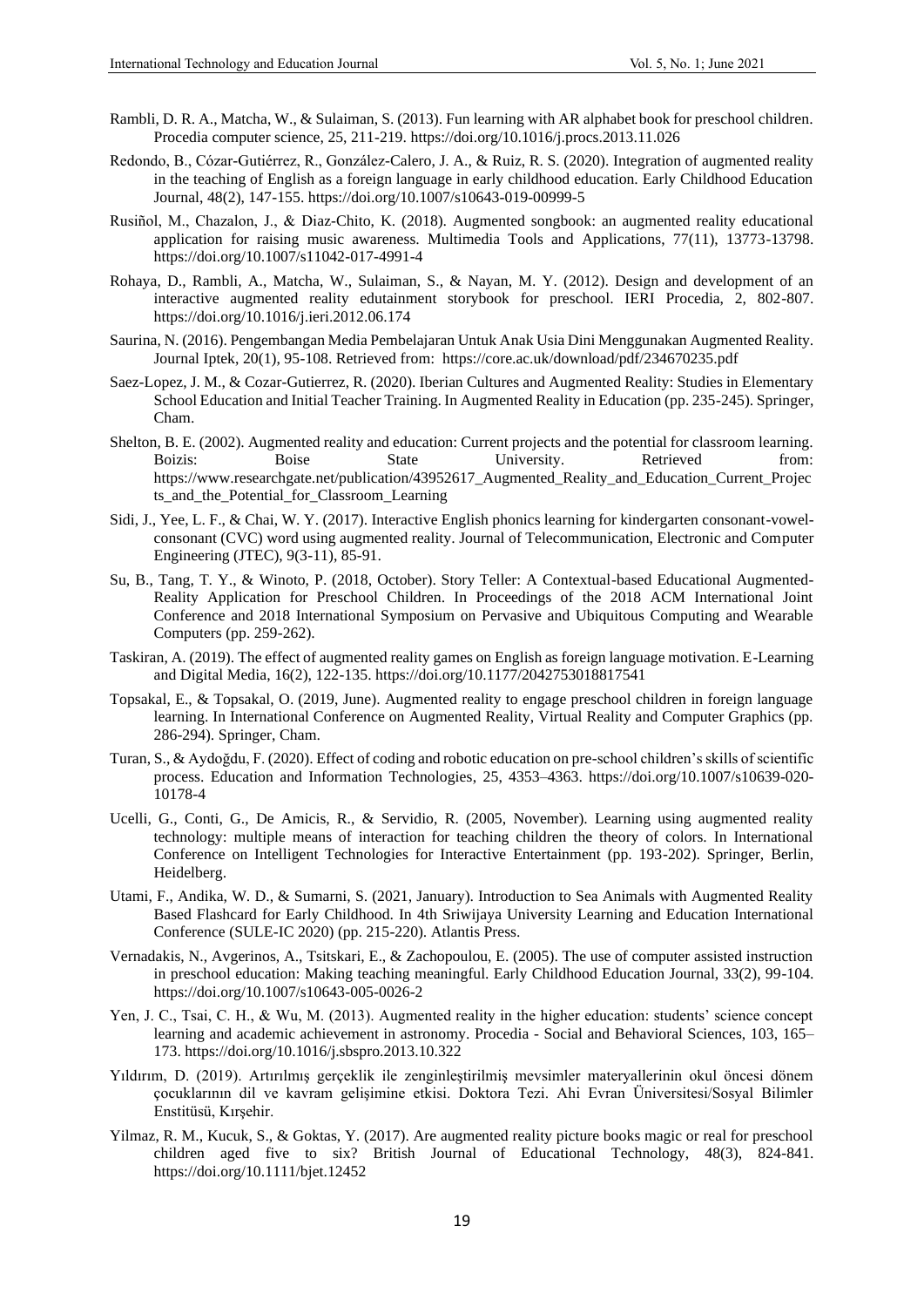- Rambli, D. R. A., Matcha, W., & Sulaiman, S. (2013). Fun learning with AR alphabet book for preschool children. Procedia computer science, 25, 211-219. https://doi.org/10.1016/j.procs.2013.11.026
- Redondo, B., Cózar-Gutiérrez, R., González-Calero, J. A., & Ruiz, R. S. (2020). Integration of augmented reality in the teaching of English as a foreign language in early childhood education. Early Childhood Education Journal, 48(2), 147-155. https://doi.org/10.1007/s10643-019-00999-5
- Rusiñol, M., Chazalon, J., & Diaz-Chito, K. (2018). Augmented songbook: an augmented reality educational application for raising music awareness. Multimedia Tools and Applications, 77(11), 13773-13798. https://doi.org/10.1007/s11042-017-4991-4
- Rohaya, D., Rambli, A., Matcha, W., Sulaiman, S., & Nayan, M. Y. (2012). Design and development of an interactive augmented reality edutainment storybook for preschool. IERI Procedia, 2, 802-807. https://doi.org/10.1016/j.ieri.2012.06.174
- Saurina, N. (2016). Pengembangan Media Pembelajaran Untuk Anak Usia Dini Menggunakan Augmented Reality. Journal Iptek, 20(1), 95-108. Retrieved from: https://core.ac.uk/download/pdf/234670235.pdf
- Saez-Lopez, J. M., & Cozar-Gutierrez, R. (2020). Iberian Cultures and Augmented Reality: Studies in Elementary School Education and Initial Teacher Training. In Augmented Reality in Education (pp. 235-245). Springer, Cham.
- Shelton, B. E. (2002). Augmented reality and education: Current projects and the potential for classroom learning. Boizis: Boise State University. Retrieved from: https://www.researchgate.net/publication/43952617\_Augmented\_Reality\_and\_Education\_Current\_Projec ts and the Potential for Classroom Learning
- Sidi, J., Yee, L. F., & Chai, W. Y. (2017). Interactive English phonics learning for kindergarten consonant-vowelconsonant (CVC) word using augmented reality. Journal of Telecommunication, Electronic and Computer Engineering (JTEC), 9(3-11), 85-91.
- Su, B., Tang, T. Y., & Winoto, P. (2018, October). Story Teller: A Contextual-based Educational Augmented-Reality Application for Preschool Children. In Proceedings of the 2018 ACM International Joint Conference and 2018 International Symposium on Pervasive and Ubiquitous Computing and Wearable Computers (pp. 259-262).
- Taskiran, A. (2019). The effect of augmented reality games on English as foreign language motivation. E-Learning and Digital Media, 16(2), 122-135. https://doi.org/10.1177/2042753018817541
- Topsakal, E., & Topsakal, O. (2019, June). Augmented reality to engage preschool children in foreign language learning. In International Conference on Augmented Reality, Virtual Reality and Computer Graphics (pp. 286-294). Springer, Cham.
- Turan, S., & Aydoğdu, F. (2020). Effect of coding and robotic education on pre-school children's skills of scientific process. Education and Information Technologies, 25, 4353–4363. https://doi.org/10.1007/s10639-020- 10178-4
- Ucelli, G., Conti, G., De Amicis, R., & Servidio, R. (2005, November). Learning using augmented reality technology: multiple means of interaction for teaching children the theory of colors. In International Conference on Intelligent Technologies for Interactive Entertainment (pp. 193-202). Springer, Berlin, Heidelberg.
- Utami, F., Andika, W. D., & Sumarni, S. (2021, January). Introduction to Sea Animals with Augmented Reality Based Flashcard for Early Childhood. In 4th Sriwijaya University Learning and Education International Conference (SULE-IC 2020) (pp. 215-220). Atlantis Press.
- Vernadakis, N., Avgerinos, A., Tsitskari, E., & Zachopoulou, E. (2005). The use of computer assisted instruction in preschool education: Making teaching meaningful. Early Childhood Education Journal, 33(2), 99-104. https://doi.org/10.1007/s10643-005-0026-2
- Yen, J. C., Tsai, C. H., & Wu, M. (2013). Augmented reality in the higher education: students' science concept learning and academic achievement in astronomy. Procedia - Social and Behavioral Sciences, 103, 165– 173. https://doi.org/10.1016/j.sbspro.2013.10.322
- Yıldırım, D. (2019). Artırılmış gerçeklik ile zenginleştirilmiş mevsimler materyallerinin okul öncesi dönem çocuklarının dil ve kavram gelişimine etkisi. Doktora Tezi. Ahi Evran Üniversitesi/Sosyal Bilimler Enstitüsü, Kırşehir.
- Yilmaz, R. M., Kucuk, S., & Goktas, Y. (2017). Are augmented reality picture books magic or real for preschool children aged five to six? British Journal of Educational Technology, 48(3), 824-841. https://doi.org/10.1111/bjet.12452